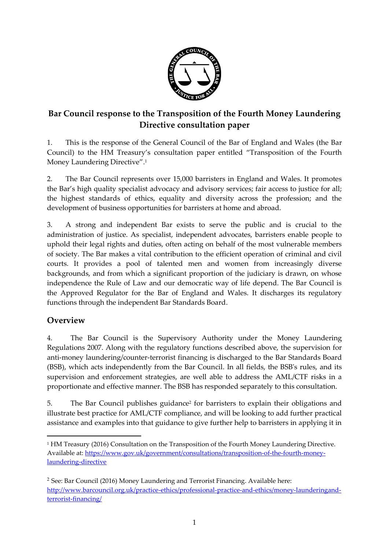

# **Bar Council response to the Transposition of the Fourth Money Laundering Directive consultation paper**

1. This is the response of the General Council of the Bar of England and Wales (the Bar Council) to the HM Treasury's consultation paper entitled "Transposition of the Fourth Money Laundering Directive". 1

2. The Bar Council represents over 15,000 barristers in England and Wales. It promotes the Bar's high quality specialist advocacy and advisory services; fair access to justice for all; the highest standards of ethics, equality and diversity across the profession; and the development of business opportunities for barristers at home and abroad.

3. A strong and independent Bar exists to serve the public and is crucial to the administration of justice. As specialist, independent advocates, barristers enable people to uphold their legal rights and duties, often acting on behalf of the most vulnerable members of society. The Bar makes a vital contribution to the efficient operation of criminal and civil courts. It provides a pool of talented men and women from increasingly diverse backgrounds, and from which a significant proportion of the judiciary is drawn, on whose independence the Rule of Law and our democratic way of life depend. The Bar Council is the Approved Regulator for the Bar of England and Wales. It discharges its regulatory functions through the independent Bar Standards Board.

# **Overview**

**.** 

4. The Bar Council is the Supervisory Authority under the Money Laundering Regulations 2007. Along with the regulatory functions described above, the supervision for anti-money laundering/counter-terrorist financing is discharged to the Bar Standards Board (BSB), which acts independently from the Bar Council. In all fields, the BSB's rules, and its supervision and enforcement strategies, are well able to address the AML/CTF risks in a proportionate and effective manner. The BSB has responded separately to this consultation.

5. The Bar Council publishes guidance<sup>2</sup> for barristers to explain their obligations and illustrate best practice for AML/CTF compliance, and will be looking to add further practical assistance and examples into that guidance to give further help to barristers in applying it in

<sup>1</sup> HM Treasury (2016) Consultation on the Transposition of the Fourth Money Laundering Directive. Available at: [https://www.gov.uk/government/consultations/transposition-of-the-fourth-money](https://www.gov.uk/government/consultations/transposition-of-the-fourth-money-laundering-directive)[laundering-directive](https://www.gov.uk/government/consultations/transposition-of-the-fourth-money-laundering-directive)

<sup>2</sup> See: Bar Council (2016) Money Laundering and Terrorist Financing. Available here: [http://www.barcouncil.org.uk/practice-ethics/professional-practice-and-ethics/money-launderingand](http://www.barcouncil.org.uk/practice-ethics/professional-practice-and-ethics/money-launderingand-terrorist-financing/)[terrorist-financing/](http://www.barcouncil.org.uk/practice-ethics/professional-practice-and-ethics/money-launderingand-terrorist-financing/)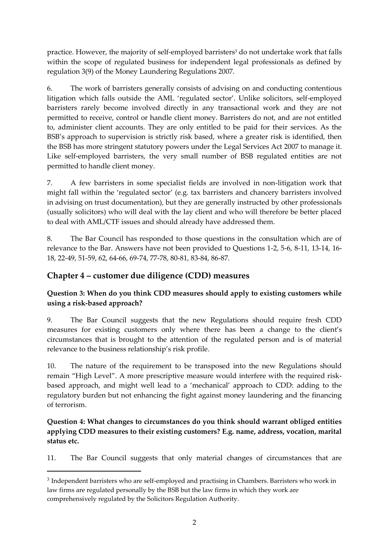practice. However, the majority of self-employed barristers<sup>3</sup> do not undertake work that falls within the scope of regulated business for independent legal professionals as defined by regulation 3(9) of the Money Laundering Regulations 2007.

6. The work of barristers generally consists of advising on and conducting contentious litigation which falls outside the AML 'regulated sector'. Unlike solicitors, self-employed barristers rarely become involved directly in any transactional work and they are not permitted to receive, control or handle client money. Barristers do not, and are not entitled to, administer client accounts. They are only entitled to be paid for their services. As the BSB's approach to supervision is strictly risk based, where a greater risk is identified, then the BSB has more stringent statutory powers under the Legal Services Act 2007 to manage it. Like self-employed barristers, the very small number of BSB regulated entities are not permitted to handle client money.

7. A few barristers in some specialist fields are involved in non-litigation work that might fall within the 'regulated sector' (e.g. tax barristers and chancery barristers involved in advising on trust documentation), but they are generally instructed by other professionals (usually solicitors) who will deal with the lay client and who will therefore be better placed to deal with AML/CTF issues and should already have addressed them.

8. The Bar Council has responded to those questions in the consultation which are of relevance to the Bar. Answers have not been provided to Questions 1-2, 5-6, 8-11, 13-14, 16- 18, 22-49, 51-59, 62, 64-66, 69-74, 77-78, 80-81, 83-84, 86-87.

## **Chapter 4 – customer due diligence (CDD) measures**

1

## **Question 3: When do you think CDD measures should apply to existing customers while using a risk-based approach?**

9. The Bar Council suggests that the new Regulations should require fresh CDD measures for existing customers only where there has been a change to the client's circumstances that is brought to the attention of the regulated person and is of material relevance to the business relationship's risk profile.

10. The nature of the requirement to be transposed into the new Regulations should remain "High Level". A more prescriptive measure would interfere with the required riskbased approach, and might well lead to a 'mechanical' approach to CDD: adding to the regulatory burden but not enhancing the fight against money laundering and the financing of terrorism.

**Question 4: What changes to circumstances do you think should warrant obliged entities applying CDD measures to their existing customers? E.g. name, address, vocation, marital status etc.**

11. The Bar Council suggests that only material changes of circumstances that are

 $3$  Independent barristers who are self-employed and practising in Chambers. Barristers who work in law firms are regulated personally by the BSB but the law firms in which they work are comprehensively regulated by the Solicitors Regulation Authority.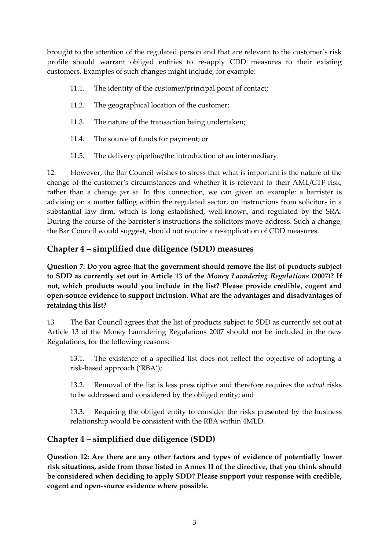brought to the attention of the regulated person and that are relevant to the customer's risk profile should warrant obliged entities to re-apply CDD measures to their existing customers. Examples of such changes might include, for example:

- 11.1. The identity of the customer/principal point of contact;
- 11.2. The geographical location of the customer;
- 11.3. The nature of the transaction being undertaken;
- 11.4. The source of funds for payment; or
- 11.5. The delivery pipeline/the introduction of an intermediary.

12. However, the Bar Council wishes to stress that what is important is the nature of the change of the customer's circumstances and whether it is relevant to their AML/CTF risk, rather than a change *per se*. In this connection, we can given an example: a barrister is advising on a matter falling within the regulated sector, on instructions from solicitors in a substantial law firm, which is long established, well-known, and regulated by the SRA. During the course of the barrister's instructions the solicitors move address. Such a change, the Bar Council would suggest, should not require a re-application of CDD measures.

# **Chapter 4 – simplified due diligence (SDD) measures**

**Question 7: Do you agree that the government should remove the list of products subject to SDD as currently set out in Article 13 of the** *Money Laundering Regulations* **(2007)? If not, which products would you include in the list? Please provide credible, cogent and open-source evidence to support inclusion. What are the advantages and disadvantages of retaining this list?**

13. The Bar Council agrees that the list of products subject to SDD as currently set out at Article 13 of the Money Laundering Regulations 2007 should not be included in the new Regulations, for the following reasons:

13.1. The existence of a specified list does not reflect the objective of adopting a risk-based approach ('RBA');

13.2. Removal of the list is less prescriptive and therefore requires the *actual* risks to be addressed and considered by the obliged entity; and

13.3. Requiring the obliged entity to consider the risks presented by the business relationship would be consistent with the RBA within 4MLD.

## **Chapter 4 – simplified due diligence (SDD)**

**Question 12: Are there are any other factors and types of evidence of potentially lower risk situations, aside from those listed in Annex II of the directive, that you think should be considered when deciding to apply SDD? Please support your response with credible, cogent and open-source evidence where possible.**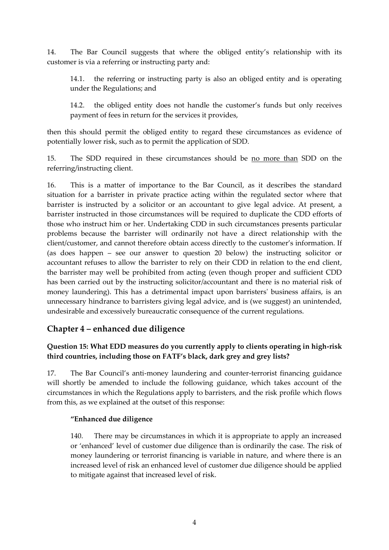14. The Bar Council suggests that where the obliged entity's relationship with its customer is via a referring or instructing party and:

14.1. the referring or instructing party is also an obliged entity and is operating under the Regulations; and

14.2. the obliged entity does not handle the customer's funds but only receives payment of fees in return for the services it provides,

then this should permit the obliged entity to regard these circumstances as evidence of potentially lower risk, such as to permit the application of SDD.

15. The SDD required in these circumstances should be no more than SDD on the referring/instructing client.

16. This is a matter of importance to the Bar Council, as it describes the standard situation for a barrister in private practice acting within the regulated sector where that barrister is instructed by a solicitor or an accountant to give legal advice. At present, a barrister instructed in those circumstances will be required to duplicate the CDD efforts of those who instruct him or her. Undertaking CDD in such circumstances presents particular problems because the barrister will ordinarily not have a direct relationship with the client/customer, and cannot therefore obtain access directly to the customer's information. If (as does happen – see our answer to question 20 below) the instructing solicitor or accountant refuses to allow the barrister to rely on their CDD in relation to the end client, the barrister may well be prohibited from acting (even though proper and sufficient CDD has been carried out by the instructing solicitor/accountant and there is no material risk of money laundering). This has a detrimental impact upon barristers' business affairs, is an unnecessary hindrance to barristers giving legal advice, and is (we suggest) an unintended, undesirable and excessively bureaucratic consequence of the current regulations.

## **Chapter 4 – enhanced due diligence**

## **Question 15: What EDD measures do you currently apply to clients operating in high-risk third countries, including those on FATF's black, dark grey and grey lists?**

17. The Bar Council's anti-money laundering and counter-terrorist financing guidance will shortly be amended to include the following guidance, which takes account of the circumstances in which the Regulations apply to barristers, and the risk profile which flows from this, as we explained at the outset of this response:

#### **"Enhanced due diligence**

140. There may be circumstances in which it is appropriate to apply an increased or 'enhanced' level of customer due diligence than is ordinarily the case. The risk of money laundering or terrorist financing is variable in nature, and where there is an increased level of risk an enhanced level of customer due diligence should be applied to mitigate against that increased level of risk.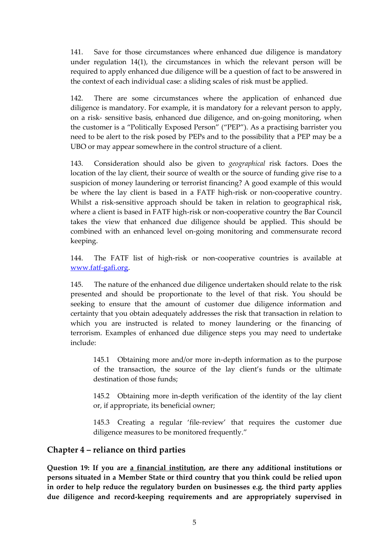141. Save for those circumstances where enhanced due diligence is mandatory under regulation 14(1), the circumstances in which the relevant person will be required to apply enhanced due diligence will be a question of fact to be answered in the context of each individual case: a sliding scales of risk must be applied.

142. There are some circumstances where the application of enhanced due diligence is mandatory. For example, it is mandatory for a relevant person to apply, on a risk- sensitive basis, enhanced due diligence, and on-going monitoring, when the customer is a "Politically Exposed Person" ("PEP"). As a practising barrister you need to be alert to the risk posed by PEPs and to the possibility that a PEP may be a UBO or may appear somewhere in the control structure of a client.

143. Consideration should also be given to *geographical* risk factors. Does the location of the lay client, their source of wealth or the source of funding give rise to a suspicion of money laundering or terrorist financing? A good example of this would be where the lay client is based in a FATF high-risk or non-cooperative country. Whilst a risk-sensitive approach should be taken in relation to geographical risk, where a client is based in FATF high-risk or non-cooperative country the Bar Council takes the view that enhanced due diligence should be applied. This should be combined with an enhanced level on-going monitoring and commensurate record keeping.

144. The FATF list of high-risk or non-cooperative countries is available at [www.fatf-gafi.org.](http://www.fatf-gafi.org/)

145. The nature of the enhanced due diligence undertaken should relate to the risk presented and should be proportionate to the level of that risk. You should be seeking to ensure that the amount of customer due diligence information and certainty that you obtain adequately addresses the risk that transaction in relation to which you are instructed is related to money laundering or the financing of terrorism. Examples of enhanced due diligence steps you may need to undertake include:

145.1 Obtaining more and/or more in-depth information as to the purpose of the transaction, the source of the lay client's funds or the ultimate destination of those funds;

145.2 Obtaining more in-depth verification of the identity of the lay client or, if appropriate, its beneficial owner;

145.3 Creating a regular 'file-review' that requires the customer due diligence measures to be monitored frequently."

## **Chapter 4 – reliance on third parties**

**Question 19: If you are a financial institution, are there any additional institutions or persons situated in a Member State or third country that you think could be relied upon in order to help reduce the regulatory burden on businesses e.g. the third party applies due diligence and record-keeping requirements and are appropriately supervised in**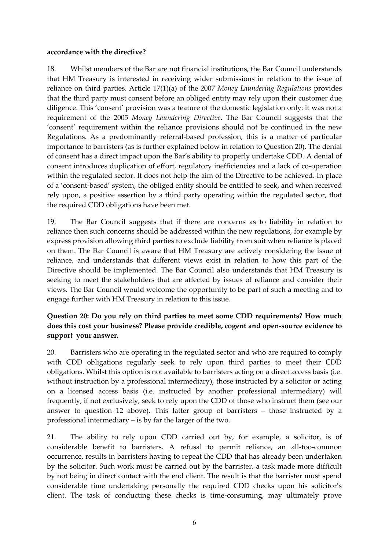#### **accordance with the directive?**

18. Whilst members of the Bar are not financial institutions, the Bar Council understands that HM Treasury is interested in receiving wider submissions in relation to the issue of reliance on third parties. Article 17(1)(a) of the 2007 *Money Laundering Regulations* provides that the third party must consent before an obliged entity may rely upon their customer due diligence. This 'consent' provision was a feature of the domestic legislation only: it was not a requirement of the 2005 *Money Laundering Directive*. The Bar Council suggests that the 'consent' requirement within the reliance provisions should not be continued in the new Regulations. As a predominantly referral-based profession, this is a matter of particular importance to barristers (as is further explained below in relation to Question 20). The denial of consent has a direct impact upon the Bar's ability to properly undertake CDD. A denial of consent introduces duplication of effort, regulatory inefficiencies and a lack of co-operation within the regulated sector. It does not help the aim of the Directive to be achieved. In place of a 'consent-based' system, the obliged entity should be entitled to seek, and when received rely upon, a positive assertion by a third party operating within the regulated sector, that the required CDD obligations have been met.

19. The Bar Council suggests that if there are concerns as to liability in relation to reliance then such concerns should be addressed within the new regulations, for example by express provision allowing third parties to exclude liability from suit when reliance is placed on them. The Bar Council is aware that HM Treasury are actively considering the issue of reliance, and understands that different views exist in relation to how this part of the Directive should be implemented. The Bar Council also understands that HM Treasury is seeking to meet the stakeholders that are affected by issues of reliance and consider their views. The Bar Council would welcome the opportunity to be part of such a meeting and to engage further with HM Treasury in relation to this issue.

#### **Question 20: Do you rely on third parties to meet some CDD requirements? How much does this cost your business? Please provide credible, cogent and open-source evidence to support your answer.**

20. Barristers who are operating in the regulated sector and who are required to comply with CDD obligations regularly seek to rely upon third parties to meet their CDD obligations. Whilst this option is not available to barristers acting on a direct access basis (i.e. without instruction by a professional intermediary), those instructed by a solicitor or acting on a licensed access basis (i.e. instructed by another professional intermediary) will frequently, if not exclusively, seek to rely upon the CDD of those who instruct them (see our answer to question 12 above). This latter group of barristers – those instructed by a professional intermediary – is by far the larger of the two.

21. The ability to rely upon CDD carried out by, for example, a solicitor, is of considerable benefit to barristers. A refusal to permit reliance, an all-too-common occurrence, results in barristers having to repeat the CDD that has already been undertaken by the solicitor. Such work must be carried out by the barrister, a task made more difficult by not being in direct contact with the end client. The result is that the barrister must spend considerable time undertaking personally the required CDD checks upon his solicitor's client. The task of conducting these checks is time-consuming, may ultimately prove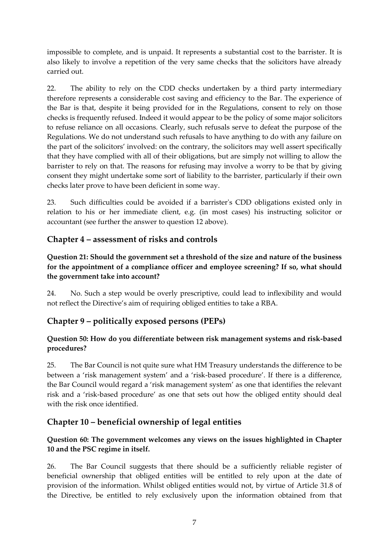impossible to complete, and is unpaid. It represents a substantial cost to the barrister. It is also likely to involve a repetition of the very same checks that the solicitors have already carried out.

22. The ability to rely on the CDD checks undertaken by a third party intermediary therefore represents a considerable cost saving and efficiency to the Bar. The experience of the Bar is that, despite it being provided for in the Regulations, consent to rely on those checks is frequently refused. Indeed it would appear to be the policy of some major solicitors to refuse reliance on all occasions. Clearly, such refusals serve to defeat the purpose of the Regulations. We do not understand such refusals to have anything to do with any failure on the part of the solicitors' involved: on the contrary, the solicitors may well assert specifically that they have complied with all of their obligations, but are simply not willing to allow the barrister to rely on that. The reasons for refusing may involve a worry to be that by giving consent they might undertake some sort of liability to the barrister, particularly if their own checks later prove to have been deficient in some way.

23. Such difficulties could be avoided if a barrister's CDD obligations existed only in relation to his or her immediate client, e.g. (in most cases) his instructing solicitor or accountant (see further the answer to question 12 above).

# **Chapter 4 – assessment of risks and controls**

## **Question 21: Should the government set a threshold of the size and nature of the business for the appointment of a compliance officer and employee screening? If so, what should the government take into account?**

24. No. Such a step would be overly prescriptive, could lead to inflexibility and would not reflect the Directive's aim of requiring obliged entities to take a RBA.

# **Chapter 9 – politically exposed persons (PEPs)**

#### **Question 50: How do you differentiate between risk management systems and risk-based procedures?**

25. The Bar Council is not quite sure what HM Treasury understands the difference to be between a 'risk management system' and a 'risk-based procedure'. If there is a difference, the Bar Council would regard a 'risk management system' as one that identifies the relevant risk and a 'risk-based procedure' as one that sets out how the obliged entity should deal with the risk once identified.

# **Chapter 10 – beneficial ownership of legal entities**

#### **Question 60: The government welcomes any views on the issues highlighted in Chapter 10 and the PSC regime in itself.**

26. The Bar Council suggests that there should be a sufficiently reliable register of beneficial ownership that obliged entities will be entitled to rely upon at the date of provision of the information. Whilst obliged entities would not, by virtue of Article 31.8 of the Directive, be entitled to rely exclusively upon the information obtained from that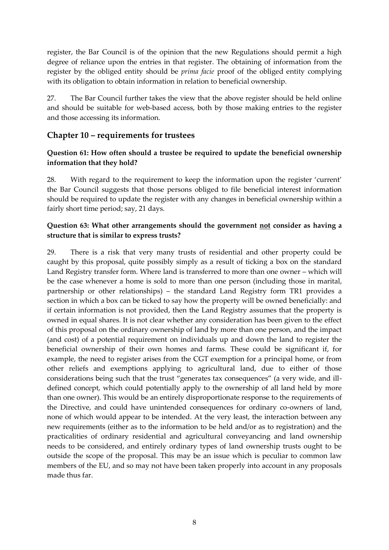register, the Bar Council is of the opinion that the new Regulations should permit a high degree of reliance upon the entries in that register. The obtaining of information from the register by the obliged entity should be *prima facie* proof of the obliged entity complying with its obligation to obtain information in relation to beneficial ownership.

27. The Bar Council further takes the view that the above register should be held online and should be suitable for web-based access, both by those making entries to the register and those accessing its information.

## **Chapter 10 – requirements for trustees**

#### **Question 61: How often should a trustee be required to update the beneficial ownership information that they hold?**

28. With regard to the requirement to keep the information upon the register 'current' the Bar Council suggests that those persons obliged to file beneficial interest information should be required to update the register with any changes in beneficial ownership within a fairly short time period; say, 21 days.

#### **Question 63: What other arrangements should the government not consider as having a structure that is similar to express trusts?**

29. There is a risk that very many trusts of residential and other property could be caught by this proposal, quite possibly simply as a result of ticking a box on the standard Land Registry transfer form. Where land is transferred to more than one owner – which will be the case whenever a home is sold to more than one person (including those in marital, partnership or other relationships) – the standard Land Registry form TR1 provides a section in which a box can be ticked to say how the property will be owned beneficially: and if certain information is not provided, then the Land Registry assumes that the property is owned in equal shares. It is not clear whether any consideration has been given to the effect of this proposal on the ordinary ownership of land by more than one person, and the impact (and cost) of a potential requirement on individuals up and down the land to register the beneficial ownership of their own homes and farms. These could be significant if, for example, the need to register arises from the CGT exemption for a principal home, or from other reliefs and exemptions applying to agricultural land, due to either of those considerations being such that the trust "generates tax consequences" (a very wide, and illdefined concept, which could potentially apply to the ownership of all land held by more than one owner). This would be an entirely disproportionate response to the requirements of the Directive, and could have unintended consequences for ordinary co-owners of land, none of which would appear to be intended. At the very least, the interaction between any new requirements (either as to the information to be held and/or as to registration) and the practicalities of ordinary residential and agricultural conveyancing and land ownership needs to be considered, and entirely ordinary types of land ownership trusts ought to be outside the scope of the proposal. This may be an issue which is peculiar to common law members of the EU, and so may not have been taken properly into account in any proposals made thus far.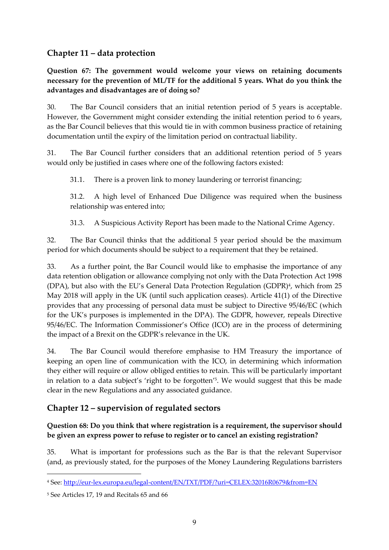# **Chapter 11 – data protection**

**Question 67: The government would welcome your views on retaining documents necessary for the prevention of ML/TF for the additional 5 years. What do you think the advantages and disadvantages are of doing so?**

30. The Bar Council considers that an initial retention period of 5 years is acceptable. However, the Government might consider extending the initial retention period to 6 years, as the Bar Council believes that this would tie in with common business practice of retaining documentation until the expiry of the limitation period on contractual liability.

31. The Bar Council further considers that an additional retention period of 5 years would only be justified in cases where one of the following factors existed:

31.1. There is a proven link to money laundering or terrorist financing;

31.2. A high level of Enhanced Due Diligence was required when the business relationship was entered into;

31.3. A Suspicious Activity Report has been made to the National Crime Agency.

32. The Bar Council thinks that the additional 5 year period should be the maximum period for which documents should be subject to a requirement that they be retained.

33. As a further point, the Bar Council would like to emphasise the importance of any data retention obligation or allowance complying not only with the Data Protection Act 1998 (DPA), but also with the EU's General Data Protection Regulation (GDPR) $<sup>4</sup>$ , which from 25</sup> May 2018 will apply in the UK (until such application ceases). Article 41(1) of the Directive provides that any processing of personal data must be subject to Directive 95/46/EC (which for the UK's purposes is implemented in the DPA). The GDPR, however, repeals Directive 95/46/EC. The Information Commissioner's Office (ICO) are in the process of determining the impact of a Brexit on the GDPR's relevance in the UK.

34. The Bar Council would therefore emphasise to HM Treasury the importance of keeping an open line of communication with the ICO, in determining which information they either will require or allow obliged entities to retain. This will be particularly important in relation to a data subject's 'right to be forgotten' 5 . We would suggest that this be made clear in the new Regulations and any associated guidance.

# **Chapter 12 – supervision of regulated sectors**

**Question 68: Do you think that where registration is a requirement, the supervisor should be given an express power to refuse to register or to cancel an existing registration?**

35. What is important for professions such as the Bar is that the relevant Supervisor (and, as previously stated, for the purposes of the Money Laundering Regulations barristers

<sup>1</sup> <sup>4</sup> See:<http://eur-lex.europa.eu/legal-content/EN/TXT/PDF/?uri=CELEX:32016R0679&from=EN>

<sup>5</sup> See Articles 17, 19 and Recitals 65 and 66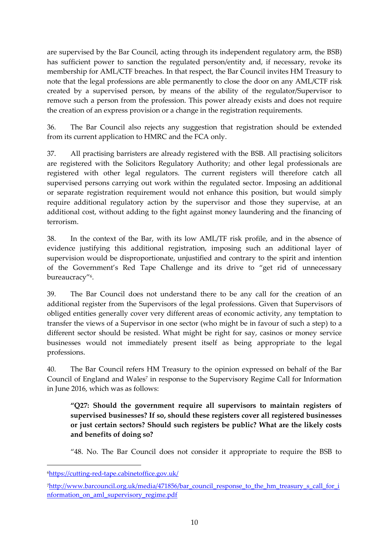are supervised by the Bar Council, acting through its independent regulatory arm, the BSB) has sufficient power to sanction the regulated person/entity and, if necessary, revoke its membership for AML/CTF breaches. In that respect, the Bar Council invites HM Treasury to note that the legal professions are able permanently to close the door on any AML/CTF risk created by a supervised person, by means of the ability of the regulator/Supervisor to remove such a person from the profession. This power already exists and does not require the creation of an express provision or a change in the registration requirements.

36. The Bar Council also rejects any suggestion that registration should be extended from its current application to HMRC and the FCA only.

37. All practising barristers are already registered with the BSB. All practising solicitors are registered with the Solicitors Regulatory Authority; and other legal professionals are registered with other legal regulators. The current registers will therefore catch all supervised persons carrying out work within the regulated sector. Imposing an additional or separate registration requirement would not enhance this position, but would simply require additional regulatory action by the supervisor and those they supervise, at an additional cost, without adding to the fight against money laundering and the financing of terrorism.

38. In the context of the Bar, with its low AML/TF risk profile, and in the absence of evidence justifying this additional registration, imposing such an additional layer of supervision would be disproportionate, unjustified and contrary to the spirit and intention of the Government's Red Tape Challenge and its drive to "get rid of unnecessary bureaucracy"<sup>6</sup> .

39. The Bar Council does not understand there to be any call for the creation of an additional register from the Supervisors of the legal professions. Given that Supervisors of obliged entities generally cover very different areas of economic activity, any temptation to transfer the views of a Supervisor in one sector (who might be in favour of such a step) to a different sector should be resisted. What might be right for say, casinos or money service businesses would not immediately present itself as being appropriate to the legal professions.

40. The Bar Council refers HM Treasury to the opinion expressed on behalf of the Bar Council of England and Wales<sup>7</sup> in response to the Supervisory Regime Call for Information in June 2016, which was as follows:

**"Q27: Should the government require all supervisors to maintain registers of supervised businesses? If so, should these registers cover all registered businesses or just certain sectors? Should such registers be public? What are the likely costs and benefits of doing so?**

"48. No. The Bar Council does not consider it appropriate to require the BSB to

 $\overline{a}$ 

<sup>6</sup><https://cutting-red-tape.cabinetoffice.gov.uk/>

<sup>7</sup>[http://www.barcouncil.org.uk/media/471856/bar\\_council\\_response\\_to\\_the\\_hm\\_treasury\\_s\\_call\\_for\\_i](http://www.barcouncil.org.uk/media/471856/bar_council_response_to_the_hm_treasury_s_call_for_information_on_aml_supervisory_regime.pdf) [nformation\\_on\\_aml\\_supervisory\\_regime.pdf](http://www.barcouncil.org.uk/media/471856/bar_council_response_to_the_hm_treasury_s_call_for_information_on_aml_supervisory_regime.pdf)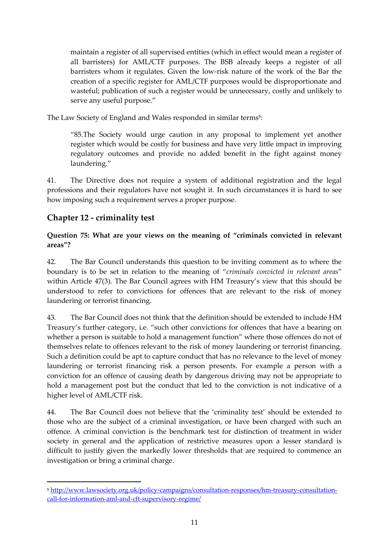maintain a register of all supervised entities (which in effect would mean a register of all barristers) for AML/CTF purposes. The BSB already keeps a register of all barristers whom it regulates. Given the low-risk nature of the work of the Bar the creation of a specific register for AML/CTF purposes would be disproportionate and wasteful; publication of such a register would be unnecessary, costly and unlikely to serve any useful purpose."

The Law Society of England and Wales responded in similar terms<sup>s</sup>:

"85.The Society would urge caution in any proposal to implement yet another register which would be costly for business and have very little impact in improving regulatory outcomes and provide no added benefit in the fight against money laundering."

41. The Directive does not require a system of additional registration and the legal professions and their regulators have not sought it. In such circumstances it is hard to see how imposing such a requirement serves a proper purpose.

# **Chapter 12 - criminality test**

1

#### **Question 75: What are your views on the meaning of "criminals convicted in relevant areas"?**

42. The Bar Council understands this question to be inviting comment as to where the boundary is to be set in relation to the meaning of "*criminals convicted in relevant areas*" within Article 47(3). The Bar Council agrees with HM Treasury's view that this should be understood to refer to convictions for offences that are relevant to the risk of money laundering or terrorist financing.

43. The Bar Council does not think that the definition should be extended to include HM Treasury's further category, i.e. "such other convictions for offences that have a bearing on whether a person is suitable to hold a management function" where those offences do not of themselves relate to offences relevant to the risk of money laundering or terrorist financing. Such a definition could be apt to capture conduct that has no relevance to the level of money laundering or terrorist financing risk a person presents. For example a person with a conviction for an offence of causing death by dangerous driving may not be appropriate to hold a management post but the conduct that led to the conviction is not indicative of a higher level of AML/CTF risk.

44. The Bar Council does not believe that the 'criminality test' should be extended to those who are the subject of a criminal investigation, or have been charged with such an offence. A criminal conviction is the benchmark test for distinction of treatment in wider society in general and the application of restrictive measures upon a lesser standard is difficult to justify given the markedly lower thresholds that are required to commence an investigation or bring a criminal charge.

<sup>8</sup> [http://www.lawsociety.org.uk/policy-campaigns/consultation-responses/hm-treasury-consultation](http://www.lawsociety.org.uk/policy-campaigns/consultation-responses/hm-treasury-consultation-call-for-information-aml-and-cft-supervisory-regime/)[call-for-information-aml-and-cft-supervisory-regime/](http://www.lawsociety.org.uk/policy-campaigns/consultation-responses/hm-treasury-consultation-call-for-information-aml-and-cft-supervisory-regime/)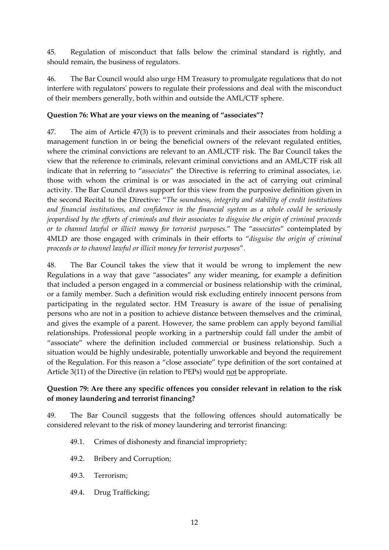45. Regulation of misconduct that falls below the criminal standard is rightly, and should remain, the business of regulators.

46. The Bar Council would also urge HM Treasury to promulgate regulations that do not interfere with regulators' powers to regulate their professions and deal with the misconduct of their members generally, both within and outside the AML/CTF sphere.

#### **Question 76: What are your views on the meaning of "associates"?**

47. The aim of Article 47(3) is to prevent criminals and their associates from holding a management function in or being the beneficial owners of the relevant regulated entities, where the criminal convictions are relevant to an AML/CTF risk. The Bar Council takes the view that the reference to criminals, relevant criminal convictions and an AML/CTF risk all indicate that in referring to "*associates*" the Directive is referring to criminal associates, i.e. those with whom the criminal is or was associated in the act of carrying out criminal activity. The Bar Council draws support for this view from the purposive definition given in the second Recital to the Directive: "*The soundness, integrity and stability of credit institutions and financial institutions, and confidence in the financial system as a whole could be seriously jeopardised by the efforts of criminals and their associates to disguise the origin of criminal proceeds or to channel lawful or illicit money for terrorist purposes.*" The "*associates*" contemplated by 4MLD are those engaged with criminals in their efforts to "*disguise the origin of criminal proceeds or to channel lawful or illicit money for terrorist purposes*".

48. The Bar Council takes the view that it would be wrong to implement the new Regulations in a way that gave "associates" any wider meaning, for example a definition that included a person engaged in a commercial or business relationship with the criminal, or a family member. Such a definition would risk excluding entirely innocent persons from participating in the regulated sector. HM Treasury is aware of the issue of penalising persons who are not in a position to achieve distance between themselves and the criminal, and gives the example of a parent. However, the same problem can apply beyond familial relationships. Professional people working in a partnership could fall under the ambit of "associate" where the definition included commercial or business relationship. Such a situation would be highly undesirable, potentially unworkable and beyond the requirement of the Regulation. For this reason a "close associate" type definition of the sort contained at Article 3(11) of the Directive (in relation to PEPs) would not be appropriate.

#### **Question 79: Are there any specific offences you consider relevant in relation to the risk of money laundering and terrorist financing?**

49. The Bar Council suggests that the following offences should automatically be considered relevant to the risk of money laundering and terrorist financing:

- 49.1. Crimes of dishonesty and financial impropriety;
- 49.2. Bribery and Corruption;
- 49.3. Terrorism;
- 49.4. Drug Trafficking;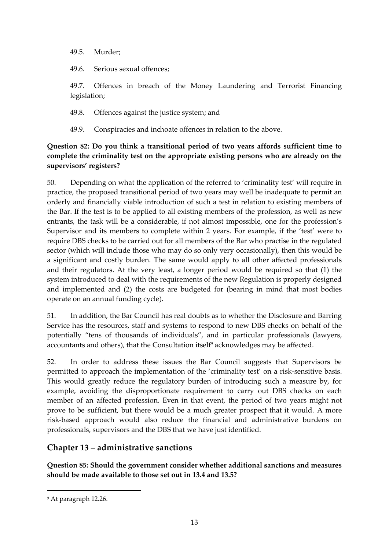49.5. Murder;

49.6. Serious sexual offences;

49.7. Offences in breach of the Money Laundering and Terrorist Financing legislation;

49.8. Offences against the justice system; and

49.9. Conspiracies and inchoate offences in relation to the above.

#### **Question 82: Do you think a transitional period of two years affords sufficient time to complete the criminality test on the appropriate existing persons who are already on the supervisors' registers?**

50. Depending on what the application of the referred to 'criminality test' will require in practice, the proposed transitional period of two years may well be inadequate to permit an orderly and financially viable introduction of such a test in relation to existing members of the Bar. If the test is to be applied to all existing members of the profession, as well as new entrants, the task will be a considerable, if not almost impossible, one for the profession's Supervisor and its members to complete within 2 years. For example, if the 'test' were to require DBS checks to be carried out for all members of the Bar who practise in the regulated sector (which will include those who may do so only very occasionally), then this would be a significant and costly burden. The same would apply to all other affected professionals and their regulators. At the very least, a longer period would be required so that (1) the system introduced to deal with the requirements of the new Regulation is properly designed and implemented and (2) the costs are budgeted for (bearing in mind that most bodies operate on an annual funding cycle).

51. In addition, the Bar Council has real doubts as to whether the Disclosure and Barring Service has the resources, staff and systems to respond to new DBS checks on behalf of the potentially "tens of thousands of individuals", and in particular professionals (lawyers, accountants and others), that the Consultation itself<sup>9</sup> acknowledges may be affected.

52. In order to address these issues the Bar Council suggests that Supervisors be permitted to approach the implementation of the 'criminality test' on a risk-sensitive basis. This would greatly reduce the regulatory burden of introducing such a measure by, for example, avoiding the disproportionate requirement to carry out DBS checks on each member of an affected profession. Even in that event, the period of two years might not prove to be sufficient, but there would be a much greater prospect that it would. A more risk-based approach would also reduce the financial and administrative burdens on professionals, supervisors and the DBS that we have just identified.

# **Chapter 13 – administrative sanctions**

**Question 85: Should the government consider whether additional sanctions and measures should be made available to those set out in 13.4 and 13.5?**

 $\overline{a}$ 

<sup>9</sup> At paragraph 12.26.